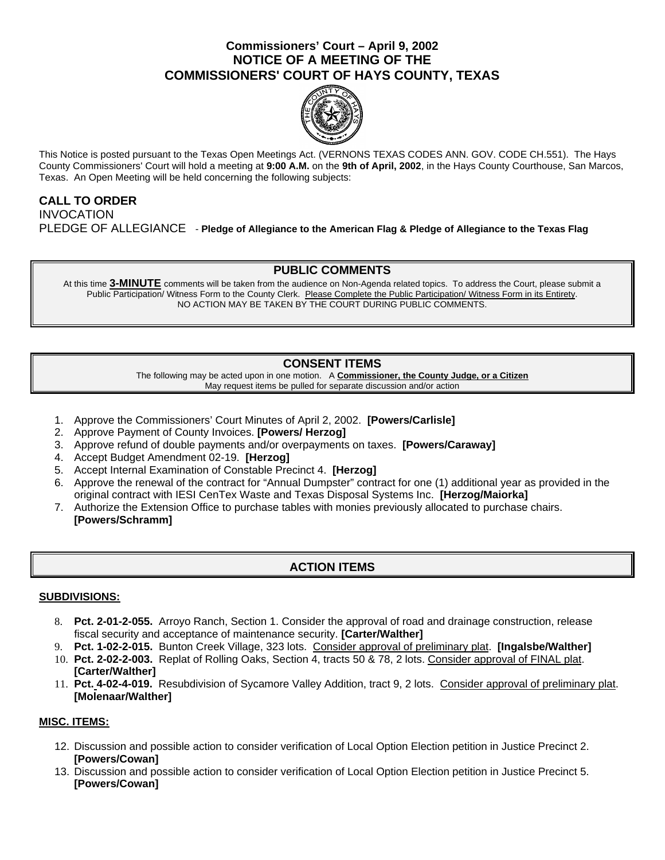# **Commissioners' Court – April 9, 2002 NOTICE OF A MEETING OF THE COMMISSIONERS' COURT OF HAYS COUNTY, TEXAS**



This Notice is posted pursuant to the Texas Open Meetings Act. (VERNONS TEXAS CODES ANN. GOV. CODE CH.551). The Hays County Commissioners' Court will hold a meeting at **9:00 A.M.** on the **9th of April, 2002**, in the Hays County Courthouse, San Marcos, Texas. An Open Meeting will be held concerning the following subjects:

### **CALL TO ORDER INVOCATION** PLEDGE OF ALLEGIANCE - **Pledge of Allegiance to the American Flag & Pledge of Allegiance to the Texas Flag**

### **PUBLIC COMMENTS**

At this time **3-MINUTE** comments will be taken from the audience on Non-Agenda related topics. To address the Court, please submit a Public Participation/ Witness Form to the County Clerk. Please Complete the Public Participation/ Witness Form in its Entirety. NO ACTION MAY BE TAKEN BY THE COURT DURING PUBLIC COMMENTS.

# **CONSENT ITEMS**

The following may be acted upon in one motion. A **Commissioner, the County Judge, or a Citizen** May request items be pulled for separate discussion and/or action

- 1. Approve the Commissioners' Court Minutes of April 2, 2002. **[Powers/Carlisle]**
- 2. Approve Payment of County Invoices. **[Powers/ Herzog]**
- 3. Approve refund of double payments and/or overpayments on taxes. **[Powers/Caraway]**
- 4. Accept Budget Amendment 02-19. **[Herzog]**
- 5. Accept Internal Examination of Constable Precinct 4. **[Herzog]**
- 6. Approve the renewal of the contract for "Annual Dumpster" contract for one (1) additional year as provided in the original contract with IESI CenTex Waste and Texas Disposal Systems Inc. **[Herzog/Maiorka]**
- 7. Authorize the Extension Office to purchase tables with monies previously allocated to purchase chairs. **[Powers/Schramm]**

# **ACTION ITEMS**

#### **SUBDIVISIONS:**

- 8. **Pct. 2-01-2-055.** Arroyo Ranch, Section 1. Consider the approval of road and drainage construction, release fiscal security and acceptance of maintenance security. **[Carter/Walther]**
- 9. **Pct. 1-02-2-015.** Bunton Creek Village, 323 lots. Consider approval of preliminary plat. **[Ingalsbe/Walther]** 10. **Pct. 2-02-2-003.** Replat of Rolling Oaks, Section 4, tracts 50 & 78, 2 lots. Consider approval of FINAL plat. **[Carter/Walther]**
- 11. **Pct. 4-02-4-019.** Resubdivision of Sycamore Valley Addition, tract 9, 2 lots. Consider approval of preliminary plat. **[Molenaar/Walther]**

#### **MISC. ITEMS:**

- 12. Discussion and possible action to consider verification of Local Option Election petition in Justice Precinct 2. **[Powers/Cowan]**
- 13. Discussion and possible action to consider verification of Local Option Election petition in Justice Precinct 5. **[Powers/Cowan]**